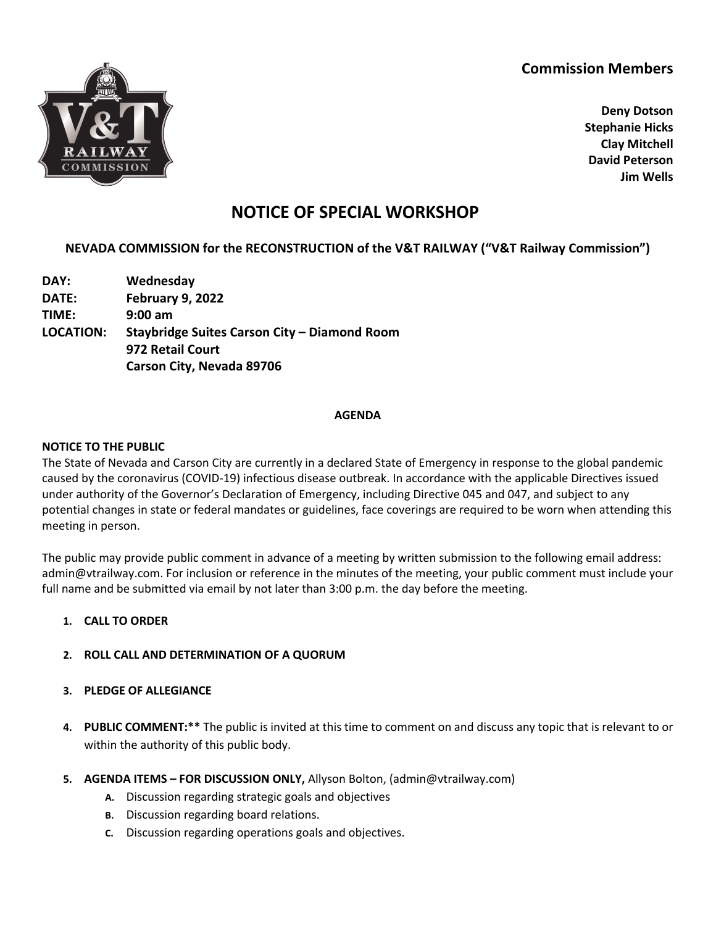## **Commission Members**



**Deny Dotson Stephanie Hicks Clay Mitchell David Peterson Jim Wells**

# **NOTICE OF SPECIAL WORKSHOP**

## **NEVADA COMMISSION for the RECONSTRUCTION of the V&T RAILWAY ("V&T Railway Commission")**

**DAY: Wednesday DATE: February 9, 2022 TIME: 9:00 am LOCATION: Staybridge Suites Carson City – Diamond Room 972 Retail Court Carson City, Nevada 89706**

#### **AGENDA**

#### **NOTICE TO THE PUBLIC**

The State of Nevada and Carson City are currently in a declared State of Emergency in response to the global pandemic caused by the coronavirus (COVID-19) infectious disease outbreak. In accordance with the applicable Directives issued under authority of the Governor's Declaration of Emergency, including Directive 045 and 047, and subject to any potential changes in state or federal mandates or guidelines, face coverings are required to be worn when attending this meeting in person.

The public may provide public comment in advance of a meeting by written submission to the following email address: admin@vtrailway.com. For inclusion or reference in the minutes of the meeting, your public comment must include your full name and be submitted via email by not later than 3:00 p.m. the day before the meeting.

#### **1. CALL TO ORDER**

#### **2. ROLL CALL AND DETERMINATION OF A QUORUM**

#### **3. PLEDGE OF ALLEGIANCE**

- **4. PUBLIC COMMENT:\*\*** The public is invited at this time to comment on and discuss any topic that is relevant to or within the authority of this public body.
- **5. AGENDA ITEMS – FOR DISCUSSION ONLY,** Allyson Bolton, (admin@vtrailway.com)
	- **A.** Discussion regarding strategic goals and objectives
	- **B.** Discussion regarding board relations.
	- **C.** Discussion regarding operations goals and objectives.